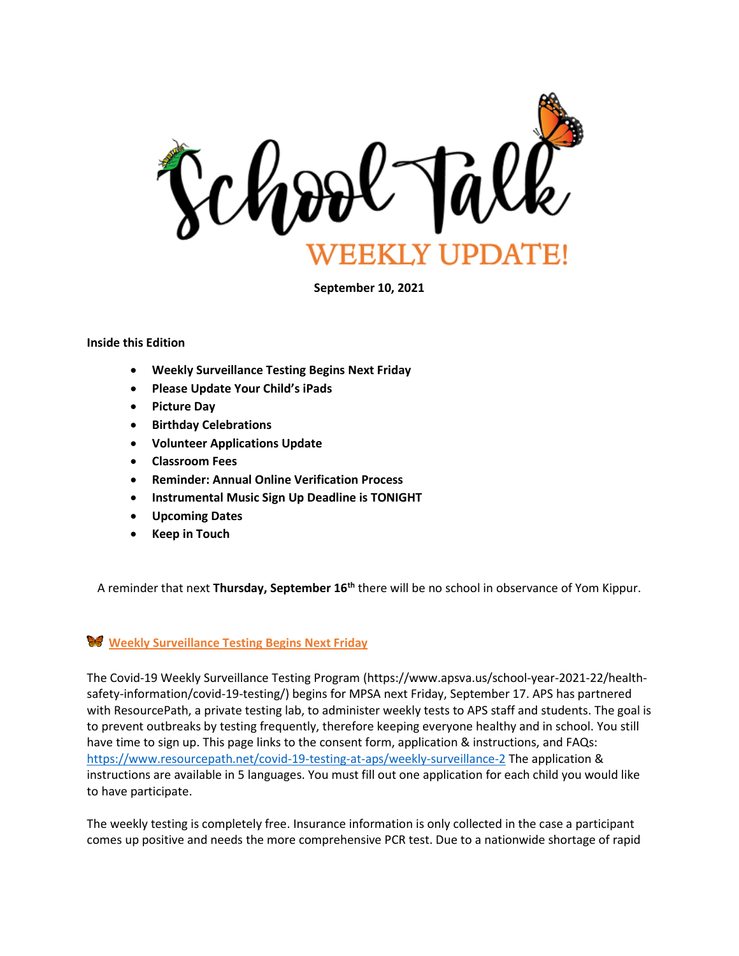

**September 10, 2021**

#### **Inside this Edition**

- **Weekly Surveillance Testing Begins Next Friday**
- **Please Update Your Child's iPads**
- **Picture Day**
- **Birthday Celebrations**
- **Volunteer Applications Update**
- **Classroom Fees**
- **Reminder: Annual Online Verification Process**
- **Instrumental Music Sign Up Deadline is TONIGHT**
- **Upcoming Dates**
- **Keep in Touch**

A reminder that next **Thursday, September 16th** there will be no school in observance of Yom Kippur.

#### **Weekly Surveillance Testing Begins Next Friday**

The Covid-19 Weekly Surveillance Testing Program (https://www.apsva.us/school-year-2021-22/healthsafety-information/covid-19-testing/) begins for MPSA next Friday, September 17. APS has partnered with ResourcePath, a private testing lab, to administer weekly tests to APS staff and students. The goal is to prevent outbreaks by testing frequently, therefore keeping everyone healthy and in school. You still have time to sign up. This page links to the consent form, application & instructions, and FAQs: <https://www.resourcepath.net/covid-19-testing-at-aps/weekly-surveillance-2> The application & instructions are available in 5 languages. You must fill out one application for each child you would like to have participate.

The weekly testing is completely free. Insurance information is only collected in the case a participant comes up positive and needs the more comprehensive PCR test. Due to a nationwide shortage of rapid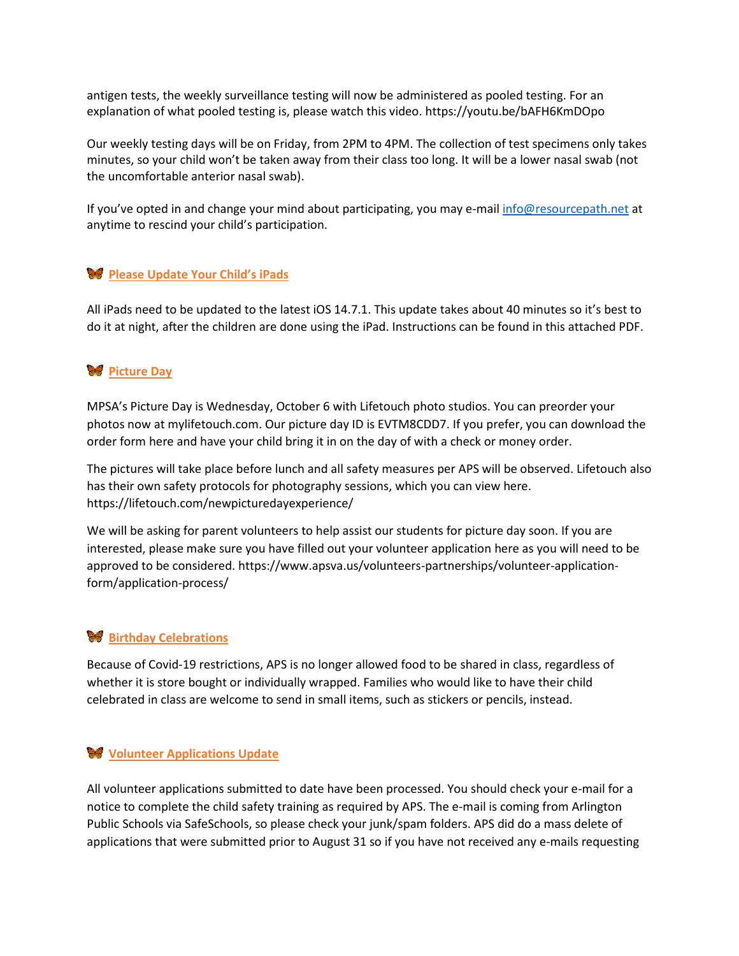antigen tests, the weekly surveillance testing will now be administered as pooled testing. For an explanation of what pooled testing is, please watch this video. https://youtu.be/bAFH6KmDOpo

Our weekly testing days will be on Friday, from 2PM to 4PM. The collection of test specimens only takes minutes, so your child won't be taken away from their class too long. It will be a lower nasal swab (not the uncomfortable anterior nasal swab).

If you've opted in and change your mind about participating, you may e-mai[l info@resourcepath.net](mailto:info@resourcepath.net) at anytime to rescind your child's participation.

# **Please Update Your Child's iPads**

All iPads need to be updated to the latest iOS 14.7.1. This update takes about 40 minutes so it's best to do it at night, after the children are done using the iPad. Instructions can be found in this attached PDF.

# **W** Picture Day

MPSA's Picture Day is Wednesday, October 6 with Lifetouch photo studios. You can preorder your photos now at mylifetouch.com. Our picture day ID is EVTM8CDD7. If you prefer, you can download the order form here and have your child bring it in on the day of with a check or money order.

The pictures will take place before lunch and all safety measures per APS will be observed. Lifetouch also has their own safety protocols for photography sessions, which you can view here. https://lifetouch.com/newpicturedayexperience/

We will be asking for parent volunteers to help assist our students for picture day soon. If you are interested, please make sure you have filled out your volunteer application here as you will need to be approved to be considered. https://www.apsva.us/volunteers-partnerships/volunteer-applicationform/application-process/

# **Birthday Celebrations**

Because of Covid-19 restrictions, APS is no longer allowed food to be shared in class, regardless of whether it is store bought or individually wrapped. Families who would like to have their child celebrated in class are welcome to send in small items, such as stickers or pencils, instead.

# **Volunteer Applications Update**

All volunteer applications submitted to date have been processed. You should check your e-mail for a notice to complete the child safety training as required by APS. The e-mail is coming from Arlington Public Schools via SafeSchools, so please check your junk/spam folders. APS did do a mass delete of applications that were submitted prior to August 31 so if you have not received any e-mails requesting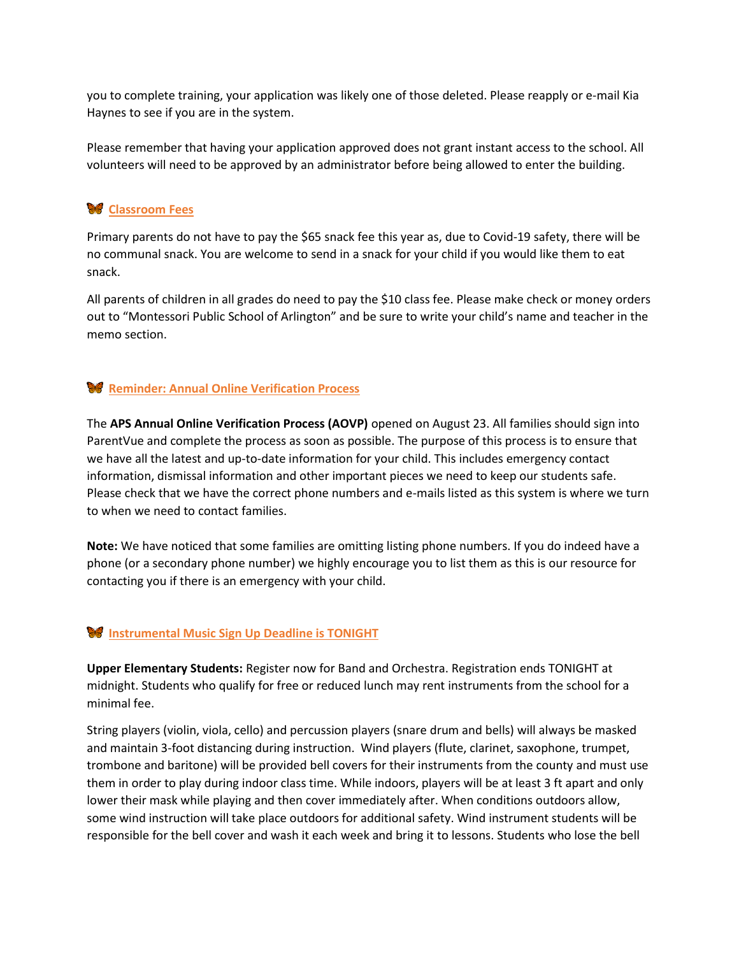you to complete training, your application was likely one of those deleted. Please reapply or e-mail Kia Haynes to see if you are in the system.

Please remember that having your application approved does not grant instant access to the school. All volunteers will need to be approved by an administrator before being allowed to enter the building.

# **Classroom Fees**

Primary parents do not have to pay the \$65 snack fee this year as, due to Covid-19 safety, there will be no communal snack. You are welcome to send in a snack for your child if you would like them to eat snack.

All parents of children in all grades do need to pay the \$10 class fee. Please make check or money orders out to "Montessori Public School of Arlington" and be sure to write your child's name and teacher in the memo section.

# **Reminder: Annual Online Verification Process**

The **APS Annual Online Verification Process (AOVP)** opened on August 23. All families should sign into ParentVue and complete the process as soon as possible. The purpose of this process is to ensure that we have all the latest and up-to-date information for your child. This includes emergency contact information, dismissal information and other important pieces we need to keep our students safe. Please check that we have the correct phone numbers and e-mails listed as this system is where we turn to when we need to contact families.

**Note:** We have noticed that some families are omitting listing phone numbers. If you do indeed have a phone (or a secondary phone number) we highly encourage you to list them as this is our resource for contacting you if there is an emergency with your child.

#### **Instrumental Music Sign Up Deadline is TONIGHT**

**Upper Elementary Students:** Register now for Band and Orchestra. Registration ends TONIGHT at midnight. Students who qualify for free or reduced lunch may rent instruments from the school for a minimal fee.

String players (violin, viola, cello) and percussion players (snare drum and bells) will always be masked and maintain 3-foot distancing during instruction. Wind players (flute, clarinet, saxophone, trumpet, trombone and baritone) will be provided bell covers for their instruments from the county and must use them in order to play during indoor class time. While indoors, players will be at least 3 ft apart and only lower their mask while playing and then cover immediately after. When conditions outdoors allow, some wind instruction will take place outdoors for additional safety. Wind instrument students will be responsible for the bell cover and wash it each week and bring it to lessons. Students who lose the bell